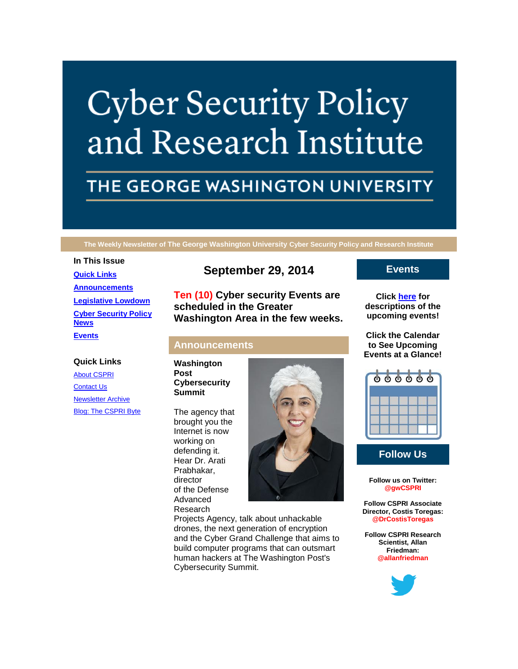# **Cyber Security Policy** and Research Institute

# THE GEORGE WASHINGTON UNIVERSITY

**The Weekly Newsletter of The George Washington University Cyber Security Policy and Research Institute**

# **In This Issue [Quick Links](https://mail.google.com/mail/u/0/#148c22e3dacdb1e9_LETTER.BLOCK5) [Announcements](https://mail.google.com/mail/u/0/#148c22e3dacdb1e9_LETTER.BLOCK18) [Legislative Lowdown](https://mail.google.com/mail/u/0/#148c22e3dacdb1e9_LETTER.BLOCK23) [Cyber Security Policy](https://mail.google.com/mail/u/0/#148c22e3dacdb1e9_LETTER.BLOCK26)  [News](https://mail.google.com/mail/u/0/#148c22e3dacdb1e9_LETTER.BLOCK26) [Events](https://mail.google.com/mail/u/0/#148c22e3dacdb1e9_LETTER.BLOCK30)**

#### **Quick Links**

[About CSPRI](http://r20.rs6.net/tn.jsp?f=001XEzbsaID80pYCq3UNdN2wS_6yvUh5qxF2g0ifLKCNsyZSP9A9WuEVCX6Qegx87wzvRltJHYiUGmm9hqvX86tfs1C_5YUUcaHTClkLEGnHBqG3h5N5wofxhq0IsJr4Qxe62e9R76cNvYdQ_UsOV0baGe162IvNeTa2xiYlwYarH9nsDRaF1nEIC5PUQ2tDjxX&c=1jOnrHXfhtsHMN-E1njQbkFenfNi2XK3hINq_i7YuS4T-M6tBEE1Bw==&ch=K0N754QBbK1NLyFJaZzvUfIZHr7mI_jzjCAbbs38Lq-sL3NIziwBIA==) [Contact Us](http://r20.rs6.net/tn.jsp?f=001XEzbsaID80pYCq3UNdN2wS_6yvUh5qxF2g0ifLKCNsyZSP9A9WuEVCX6Qegx87wzOEa6-69SC2dIaF6_MMjYM6NiCy2XEpPrT9SqCxP_9z4GIfceBphz2vcY0SljtOrfxlUtvQ3j0Ekh4Tp16o9S08BxVnCy6Zhg4o55CPM87QnDEXDnWj8yF0H1AhOZOecpGP59Fhknl2Q=&c=1jOnrHXfhtsHMN-E1njQbkFenfNi2XK3hINq_i7YuS4T-M6tBEE1Bw==&ch=K0N754QBbK1NLyFJaZzvUfIZHr7mI_jzjCAbbs38Lq-sL3NIziwBIA==) [Newsletter Archive](http://r20.rs6.net/tn.jsp?f=001XEzbsaID80pYCq3UNdN2wS_6yvUh5qxF2g0ifLKCNsyZSP9A9WuEVCX6Qegx87wzN0cc_jYrHeed2iHNARbUp6SePp3sg9GfCWCDNHen5mdcaLjKOoLx4tcyoLLWKctUMmkEhCgOlbKxiLBdYH-_NHKX2AMOAeXNEYGt9o51OjV9Nm4ZRCr3BF30FPmi0nhyezWgpA4qf_c=&c=1jOnrHXfhtsHMN-E1njQbkFenfNi2XK3hINq_i7YuS4T-M6tBEE1Bw==&ch=K0N754QBbK1NLyFJaZzvUfIZHr7mI_jzjCAbbs38Lq-sL3NIziwBIA==) [Blog: The CSPRI Byte](http://r20.rs6.net/tn.jsp?f=001XEzbsaID80pYCq3UNdN2wS_6yvUh5qxF2g0ifLKCNsyZSP9A9WuEVCX6Qegx87wztUX1xIRWmwU4XOocAJ8w4tl7tarB_0K9sYR3Ln2x1nJcvscAcwGcFfjjwMCOLCFpVUkql8XOGMErZAJgOxsoDhoaiE7W0V1LvZdQ5_AEx3mP8o9bO7voIpxUzE6wtRve&c=1jOnrHXfhtsHMN-E1njQbkFenfNi2XK3hINq_i7YuS4T-M6tBEE1Bw==&ch=K0N754QBbK1NLyFJaZzvUfIZHr7mI_jzjCAbbs38Lq-sL3NIziwBIA==)

# **September 29, 2014**

**Ten (10) Cyber security Events are scheduled in the Greater Washington Area in the few weeks.**

## **Announcements**

**Washington Post Cybersecurity Summit**

The agency that brought you the Internet is now working on defending it. Hear Dr. Arati Prabhakar, director of the Defense Advanced Research



Projects Agency, talk about unhackable drones, the next generation of encryption and the Cyber Grand Challenge that aims to build computer programs that can outsmart human hackers at The Washington Post's Cybersecurity Summit.

# **Events**

**Click [here](http://r20.rs6.net/tn.jsp?f=001XEzbsaID80pYCq3UNdN2wS_6yvUh5qxF2g0ifLKCNsyZSP9A9WuEVCX6Qegx87wzZYEUTjbICqdYDVlGwq3kDGuozol6J7MS95MWOJoO4pHukU-suipz9SHvib9BZMvVT3o4mHwnvZgx9wOHKLjM-5DBPSF72B7rYGRKY1ti4Qp5EPz9XDJb3AgSUuL-Hd90-qlW0cxSLejpRiJ1rJ6sAw==&c=1jOnrHXfhtsHMN-E1njQbkFenfNi2XK3hINq_i7YuS4T-M6tBEE1Bw==&ch=K0N754QBbK1NLyFJaZzvUfIZHr7mI_jzjCAbbs38Lq-sL3NIziwBIA==) for descriptions of the upcoming events!**

**Click the Calendar to See Upcoming Events at a Glance!**



## **Follow Us**

**Follow us on Twitter: @gwCSPRI**

**Follow CSPRI Associate Director, Costis Toregas: @DrCostisToregas**

**Follow CSPRI Research Scientist, Allan Friedman: @allanfriedman**

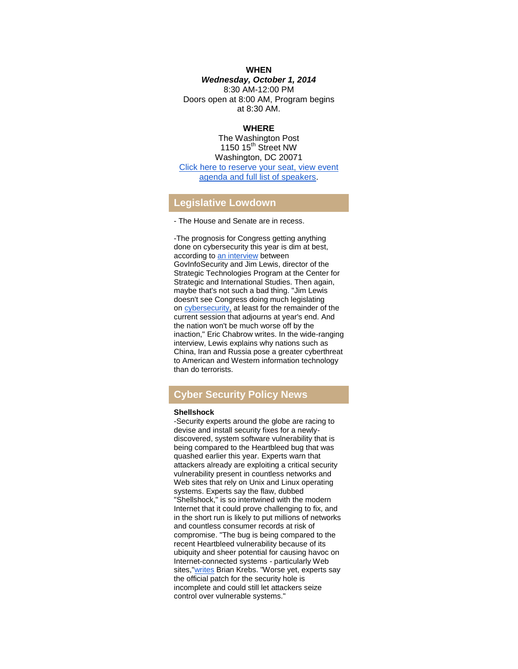#### **WHEN**

#### *Wednesday, October 1, 2014*

8:30 AM-12:00 PM Doors open at 8:00 AM, Program begins at 8:30 AM.

#### **WHERE**

The Washington Post 1150  $15<sup>th</sup>$  Street NW Washington, DC 20071 [Click here to reserve your seat, view event](http://r20.rs6.net/tn.jsp?f=001XEzbsaID80pYCq3UNdN2wS_6yvUh5qxF2g0ifLKCNsyZSP9A9WuEVKWMQAXy9vUnzWm1z7b2bf2VUizDVVGgxrAU2s1xxmTnw5Vddgg9CdtvVtV96Tddwctf58rKK2oQnz-kA1D3V-R18qmlVq6meQeYsPD_-HamMRXd6sRFTnTzwK-8NNCyiBqV_FBRKhisfw9YXt7GHn9cEqbR_9Dw7ipLqXdt8R5IoO20oIEFa2OYNrqVhz92awkgsxtra_OrfKpaTcqNSiaFT7okoEysXbPKkL1EsKEr&c=1jOnrHXfhtsHMN-E1njQbkFenfNi2XK3hINq_i7YuS4T-M6tBEE1Bw==&ch=K0N754QBbK1NLyFJaZzvUfIZHr7mI_jzjCAbbs38Lq-sL3NIziwBIA==)  [agenda and full list of speakers.](http://r20.rs6.net/tn.jsp?f=001XEzbsaID80pYCq3UNdN2wS_6yvUh5qxF2g0ifLKCNsyZSP9A9WuEVKWMQAXy9vUnzWm1z7b2bf2VUizDVVGgxrAU2s1xxmTnw5Vddgg9CdtvVtV96Tddwctf58rKK2oQnz-kA1D3V-R18qmlVq6meQeYsPD_-HamMRXd6sRFTnTzwK-8NNCyiBqV_FBRKhisfw9YXt7GHn9cEqbR_9Dw7ipLqXdt8R5IoO20oIEFa2OYNrqVhz92awkgsxtra_OrfKpaTcqNSiaFT7okoEysXbPKkL1EsKEr&c=1jOnrHXfhtsHMN-E1njQbkFenfNi2XK3hINq_i7YuS4T-M6tBEE1Bw==&ch=K0N754QBbK1NLyFJaZzvUfIZHr7mI_jzjCAbbs38Lq-sL3NIziwBIA==)

#### **Legislative Lowdown**

- The House and Senate are in recess.

-The prognosis for Congress getting anything done on cybersecurity this year is dim at best, according to [an interview](http://r20.rs6.net/tn.jsp?f=001XEzbsaID80pYCq3UNdN2wS_6yvUh5qxF2g0ifLKCNsyZSP9A9WuEVKWMQAXy9vUn6z9O-sVGubNgeTWql9aKIdENQEhqtP5FTMrn35NxZUC8GMcyq9vO8utqvLttQa6B5S0_HquZqK1W3SwnyJ33FDQ3Hs91d7dNlBsXB0f3mLapmV1QZqGG14ABNdTGSJouQkc7h68NnolOdvPbTS4TQvv4NUzZHkdoaSW-dCoKaSTzHRmDlRamMXJo67R6p3W7&c=1jOnrHXfhtsHMN-E1njQbkFenfNi2XK3hINq_i7YuS4T-M6tBEE1Bw==&ch=K0N754QBbK1NLyFJaZzvUfIZHr7mI_jzjCAbbs38Lq-sL3NIziwBIA==) between GovInfoSecurity and Jim Lewis, director of the Strategic Technologies Program at the Center for Strategic and International Studies. Then again, maybe that's not such a bad thing. "Jim Lewis doesn't see Congress doing much legislating on [cybersecurity,](http://r20.rs6.net/tn.jsp?f=001XEzbsaID80pYCq3UNdN2wS_6yvUh5qxF2g0ifLKCNsyZSP9A9WuEVKWMQAXy9vUnwS8vgqhy3uZtNaLnEmNCS8r-0pR2pT3Cew0q1zft8AwcflxqwvrWDn_Tda3Siw771X5utuoA90g_enzeUTovKZx8HFNtQH6Tjwn6Olv3oymjU4nKTzRi55Zu7GSQHMO8UqnUMFnkqX45JSKLZp4L2A==&c=1jOnrHXfhtsHMN-E1njQbkFenfNi2XK3hINq_i7YuS4T-M6tBEE1Bw==&ch=K0N754QBbK1NLyFJaZzvUfIZHr7mI_jzjCAbbs38Lq-sL3NIziwBIA==) at least for the remainder of the current session that adjourns at year's end. And the nation won't be much worse off by the inaction," Eric Chabrow writes. In the wide-ranging interview, Lewis explains why nations such as China, Iran and Russia pose a greater cyberthreat to American and Western information technology than do terrorists.

# **Cyber Security Policy News**

#### **Shellshock**

-Security experts around the globe are racing to devise and install security fixes for a newlydiscovered, system software vulnerability that is being compared to the Heartbleed bug that was quashed earlier this year. Experts warn that attackers already are exploiting a critical security vulnerability present in countless networks and Web sites that rely on Unix and Linux operating systems. Experts say the flaw, dubbed "Shellshock," is so intertwined with the modern Internet that it could prove challenging to fix, and in the short run is likely to put millions of networks and countless consumer records at risk of compromise. "The bug is being compared to the recent Heartbleed vulnerability because of its ubiquity and sheer potential for causing havoc on Internet-connected systems - particularly Web sites,["writes](http://r20.rs6.net/tn.jsp?f=001XEzbsaID80pYCq3UNdN2wS_6yvUh5qxF2g0ifLKCNsyZSP9A9WuEVKWMQAXy9vUn33pR1dgTtLtsE2KyneKEIpPgzpC1bL9Ez-2Uqsp4qOrvNVJq---xCGHguh4InS83UwwSccAkyzD7xTZtAGBQpIEmrsmYPjYLjo4iLddzFaVMOr2gXcGnhaSPwK_5cfmqrL4eEAUjXL9lrlyyN6xGOYdngsTMy7zzjIuSCqHINivJWBDi0mJOinvYmA7zsWkn&c=1jOnrHXfhtsHMN-E1njQbkFenfNi2XK3hINq_i7YuS4T-M6tBEE1Bw==&ch=K0N754QBbK1NLyFJaZzvUfIZHr7mI_jzjCAbbs38Lq-sL3NIziwBIA==) Brian Krebs. "Worse yet, experts say the official patch for the security hole is incomplete and could still let attackers seize control over vulnerable systems."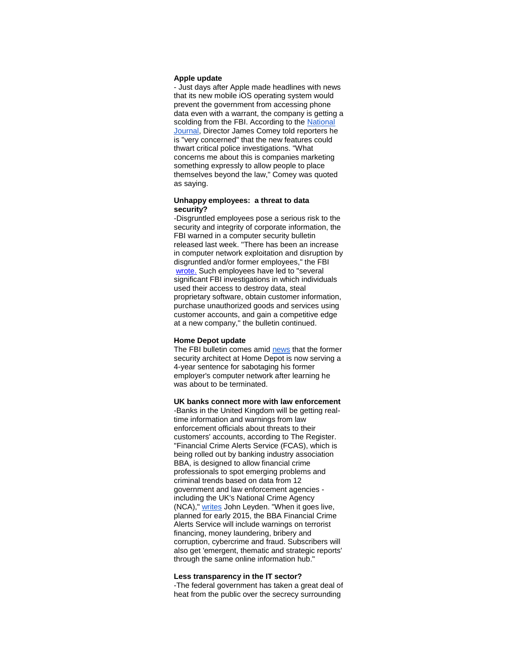#### **Apple update**

- Just days after Apple made headlines with news that its new mobile iOS operating system would prevent the government from accessing phone data even with a warrant, the company is getting a scolding from the FBI. According to the National [Journal,](http://r20.rs6.net/tn.jsp?f=001XEzbsaID80pYCq3UNdN2wS_6yvUh5qxF2g0ifLKCNsyZSP9A9WuEVKWMQAXy9vUntJoJ8ruwk9034yLxHARG5tzEYkAPrVug0nr6xml9IkCAitbU7HFO8fCDTtHO9-hn5PvKuMDhwOL6l53UwXp_oqYOf83N-WM9tpnntxPl71NGz4qOq9Nw0rxUefHAteE8_ZDs665Jd_5TL3FbQKRe_Cq2YIHLXCCLeaTLCjMoxgXHcoLOe0j055rlDK9hhpfLgHL_BcCoAhE-clKJbcqknw==&c=1jOnrHXfhtsHMN-E1njQbkFenfNi2XK3hINq_i7YuS4T-M6tBEE1Bw==&ch=K0N754QBbK1NLyFJaZzvUfIZHr7mI_jzjCAbbs38Lq-sL3NIziwBIA==) Director James Comey told reporters he is "very concerned" that the new features could thwart critical police investigations. "What concerns me about this is companies marketing something expressly to allow people to place themselves beyond the law," Comey was quoted as saying.

#### **Unhappy employees: a threat to data security?**

-Disgruntled employees pose a serious risk to the security and integrity of corporate information, the FBI warned in a computer security bulletin released last week. "There has been an increase in computer network exploitation and disruption by disgruntled and/or former employees," the FBI [wrote.](http://r20.rs6.net/tn.jsp?f=001XEzbsaID80pYCq3UNdN2wS_6yvUh5qxF2g0ifLKCNsyZSP9A9WuEVKWMQAXy9vUnJH3RcRopDfO4T-xB7E-YshLOpxjiUHQbAPq7fdFUDwM80m35RZulkpo5_qTuNdBDuPa5XOBtkscOA1AcyfiDR83lgnI24PQvJJOIm5-ejTF5Ba2liafUMyJV7sdQDnvoamyzzRLpsR-x1s8JKVECYjASehTAdcraeHUod9OPkoWoQlAFHnz1-oWaDUl1OqWqTAvF8GOi2InuWXoSiLD2wg==&c=1jOnrHXfhtsHMN-E1njQbkFenfNi2XK3hINq_i7YuS4T-M6tBEE1Bw==&ch=K0N754QBbK1NLyFJaZzvUfIZHr7mI_jzjCAbbs38Lq-sL3NIziwBIA==) Such employees have led to "several significant FBI investigations in which individuals used their access to destroy data, steal proprietary software, obtain customer information, purchase unauthorized goods and services using customer accounts, and gain a competitive edge at a new company,'' the bulletin continued.

#### **Home Depot update**

The FBI bulletin comes amid [news](http://r20.rs6.net/tn.jsp?f=001XEzbsaID80pYCq3UNdN2wS_6yvUh5qxF2g0ifLKCNsyZSP9A9WuEVKWMQAXy9vUncLhwxuePxks_0I90G1_fsx9r4qq64nMP1BCnOd1iE40w0CbQu2b1HBTUflK2P9Uv4QsAMrLYrEfeOOkU6amGXJsG8SekddkfDhc2kk8f0ZVEFdxMuMPgeBTgqJfxi574spyjBiXPtvV6g2vfOFL1bxswNJC8UnrUpkKlkUoykIag3iR6Ha0jJQYBJiLhVJWLO99b65NnSMz5Qxszy4uNkQmChEJTjdUGSjq0v20viI-o8Vj7v3lcDV38H6VEdg-h&c=1jOnrHXfhtsHMN-E1njQbkFenfNi2XK3hINq_i7YuS4T-M6tBEE1Bw==&ch=K0N754QBbK1NLyFJaZzvUfIZHr7mI_jzjCAbbs38Lq-sL3NIziwBIA==) that the former security architect at Home Depot is now serving a 4-year sentence for sabotaging his former employer's computer network after learning he was about to be terminated.

**UK banks connect more with law enforcement**

-Banks in the United Kingdom will be getting realtime information and warnings from law enforcement officials about threats to their customers' accounts, according to The Register. "Financial Crime Alerts Service (FCAS), which is being rolled out by banking industry association BBA, is designed to allow financial crime professionals to spot emerging problems and criminal trends based on data from 12 government and law enforcement agencies including the UK's National Crime Agency (NCA)," [writes](http://r20.rs6.net/tn.jsp?f=001XEzbsaID80pYCq3UNdN2wS_6yvUh5qxF2g0ifLKCNsyZSP9A9WuEVKWMQAXy9vUnyzkdSXRHUaQzh59NHZFYquLPcREAFToX1v0jRnggZbSe_3DAul6TCgVsfZbE5GejxKc8XU7lz1_-1GK-cNzTKgPD9ZPesXSWZG27M40amLGd82WscY_jEo2SvnVJ8aFB9B_vR8kzJutsQsYhVqvz0K3F1S5K-LjZgw1c443gMHzfq8sXhunoFA==&c=1jOnrHXfhtsHMN-E1njQbkFenfNi2XK3hINq_i7YuS4T-M6tBEE1Bw==&ch=K0N754QBbK1NLyFJaZzvUfIZHr7mI_jzjCAbbs38Lq-sL3NIziwBIA==) John Leyden. "When it goes live, planned for early 2015, the BBA Financial Crime Alerts Service will include warnings on terrorist financing, money laundering, bribery and corruption, cybercrime and fraud. Subscribers will also get 'emergent, thematic and strategic reports' through the same online information hub."

#### **Less transparency in the IT sector?**

-The federal government has taken a great deal of heat from the public over the secrecy surrounding